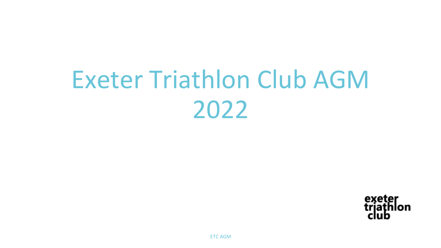# Exeter Triathlon Club AGM 2022

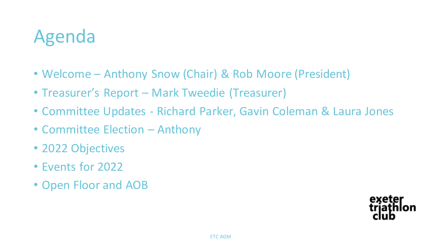## Agenda

- Welcome Anthony Snow (Chair) & Rob Moore (President)
- Treasurer's Report Mark Tweedie (Treasurer)
- Committee Updates Richard Parker, Gavin Coleman & Laura Jones
- Committee Election Anthony
- 2022 Objectives
- Events for 2022
- Open Floor and AOB

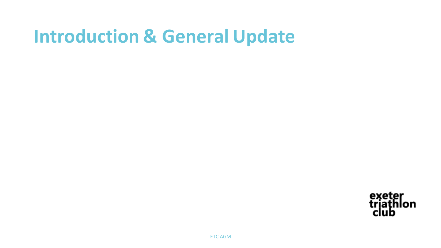### **Introduction & General Update**

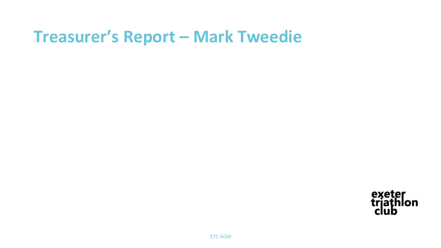#### **Treasurer's Report – Mark Tweedie**

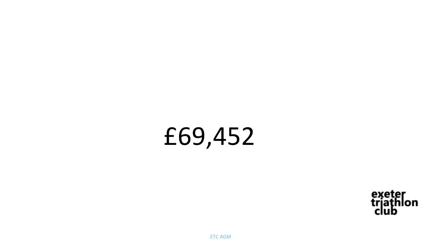# £69,452

exeter<br>trjathlon<br>club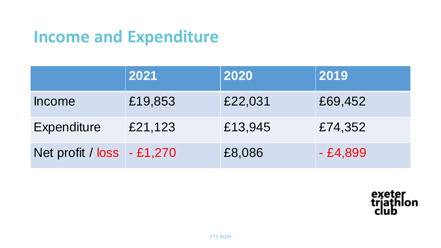#### **Income and Expenditure**

|                              | 2021    | 2020    | 2019      |
|------------------------------|---------|---------|-----------|
| <b>Income</b>                | £19,853 | £22,031 | £69,452   |
| Expenditure                  | £21,123 | £13,945 | £74,352   |
| Net profit / $loss - £1,270$ |         | £8,086  | $-£4,899$ |

exeter<br>trjathlon<br>club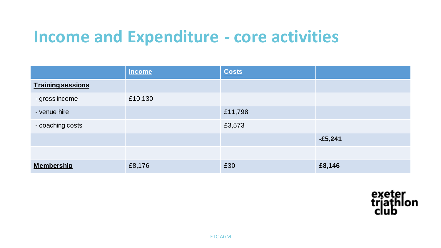#### **Income and Expenditure - core activities**

|                          | Income  | <b>Costs</b> |           |
|--------------------------|---------|--------------|-----------|
| <b>Training sessions</b> |         |              |           |
| - gross income           | £10,130 |              |           |
| - venue hire             |         | £11,798      |           |
| - coaching costs         |         | £3,573       |           |
|                          |         |              | $-£5,241$ |
|                          |         |              |           |
| <b>Membership</b>        | £8,176  | £30          | £8,146    |

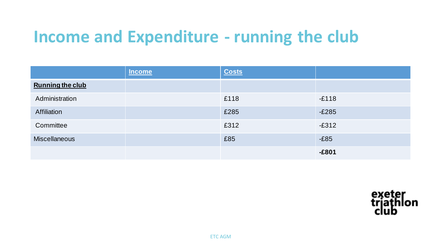### **Income and Expenditure - running the club**

|                         | <b>Income</b> | <b>Costs</b> |         |
|-------------------------|---------------|--------------|---------|
| <b>Running the club</b> |               |              |         |
| Administration          |               | £118         | $-E118$ |
| Affiliation             |               | £285         | $-E285$ |
| Committee               |               | £312         | $-E312$ |
| <b>Miscellaneous</b>    |               | £85          | $-E85$  |
|                         |               |              | $-£801$ |

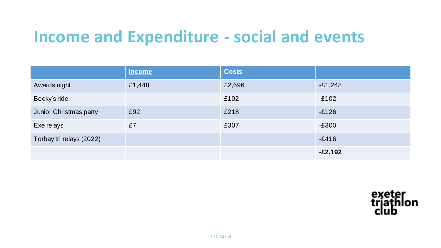#### **Income and Expenditure - social and events**

|                               | <b>Income</b> | <b>Costs</b> |           |
|-------------------------------|---------------|--------------|-----------|
| Awards night                  | £1,448        | £2,696       | $-E1,248$ |
| Becky's ride                  |               | £102         | $-E102$   |
| <b>Junior Christmas party</b> | £92           | £218         | $-E126$   |
| Exe relays                    | £7            | £307         | $-E300$   |
| Torbay tri relays (2022)      |               |              | $-E416$   |
|                               |               |              | $-E2,192$ |

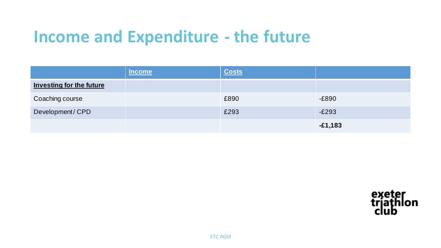#### **Income and Expenditure - the future**

|                                 | <b>Income</b> | <b>Costs</b> |           |
|---------------------------------|---------------|--------------|-----------|
| <b>Investing for the future</b> |               |              |           |
| Coaching course                 |               | £890         | $-E890$   |
| Development/CPD                 |               | £293         | $-E293$   |
|                                 |               |              | $-£1,183$ |

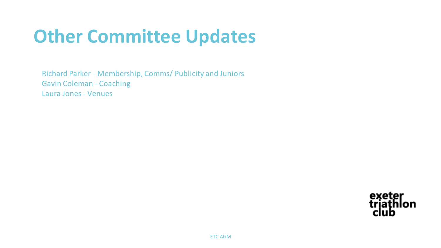# **Other Committee Updates**

Richard Parker - Membership, Comms/ Publicity and Juniors Gavin Coleman - Coaching Laura Jones - Venues

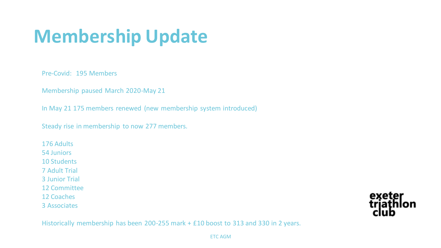# **Membership Update**

Pre-Covid: 195 Members

Membership paused March 2020-May 21

In May 21 175 members renewed (new membership system introduced)

Steady rise in membership to now 277 members.

176 Adults 54 Juniors 10 Students 7 Adult Trial 3 Junior Trial 12 Committee 12 Coaches 3 Associates

exeter<br>trjathl lon

Historically membership has been 200-255 mark + £10 boost to 313 and 330 in 2 years.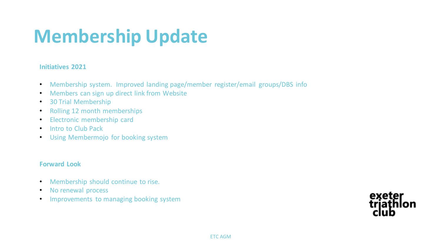# **Membership Update**

#### **Initiatives 2021**

- Membership system. Improved landing page/member register/email groups/DBS info
- Members can sign up direct link from Website
- 30 Trial Membership
- Rolling 12 month memberships
- Electronic membership card
- Intro to Club Pack
- Using Membermojo for booking system

#### **Forward Look**

- Membership should continue to rise.
- No renewal process
- Improvements to managing booking system

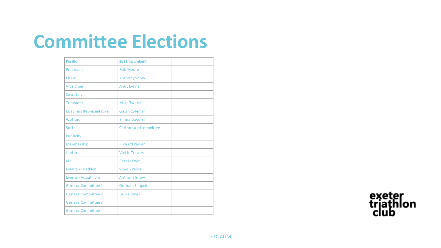## **Committee Elections**

| <b>Position</b>            | 2021 Incumbent        |  |
|----------------------------|-----------------------|--|
| President                  | <b>Rob Moore</b>      |  |
| Chair                      | <b>Anthony Snow</b>   |  |
| <b>Vice Chair</b>          | Andy Evans            |  |
| Secretary                  |                       |  |
| <b>Treasurer</b>           | Mark Tweedie          |  |
| Coaching Representative    | Gavin Coleman         |  |
| Welfare                    | <b>Emma DaCorsi</b>   |  |
| Social                     | Corinne and committee |  |
| Publicity                  |                       |  |
| Membership                 | <b>Richard Parker</b> |  |
| Junior                     | <b>Vickie Travers</b> |  |
| Kit                        | <b>Bernie Ewin</b>    |  |
| Events - Triathlon         | <b>Simon Parke</b>    |  |
| Events - Aquathlons        | <b>Anthony Snow</b>   |  |
| General Committee 1        | <b>Graham Simpole</b> |  |
| <b>General Committee 2</b> | Laura Jones           |  |
| General Committee 3        |                       |  |
| General Committee 4        |                       |  |

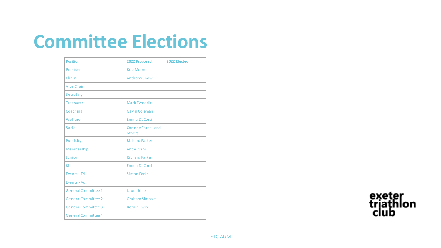## **Committee Elections**

| <b>Position</b>            | 2022 Proposed                 | 2022 Elected |
|----------------------------|-------------------------------|--------------|
| President                  | <b>Rob Moore</b>              |              |
| Chair                      | <b>Anthony Snow</b>           |              |
| <b>Vice Chair</b>          |                               |              |
| Secretary                  |                               |              |
| <b>Treasurer</b>           | Mark Tweedie                  |              |
| Coaching                   | Gavin Coleman                 |              |
| Welfare                    | Emma DaCorsi                  |              |
| <b>Social</b>              | Corinne Parnall and<br>others |              |
| Publicity                  | <b>Richard Parker</b>         |              |
| Membership                 | <b>Andy Evans</b>             |              |
| Junior                     | <b>Richard Parker</b>         |              |
| Kit                        | Emma DaCorsi                  |              |
| Events - Tri               | <b>Simon Parke</b>            |              |
| Events - Aq                |                               |              |
| <b>General Committee 1</b> | La ura Jones                  |              |
| <b>General Committee 2</b> | <b>Graham Simpole</b>         |              |
| General Committee 3        | <b>Bernie Ewin</b>            |              |
| General Committee 4        |                               |              |

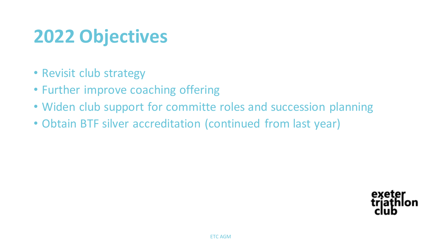# **2022 Objectives**

- Revisit club strategy
- Further improve coaching offering
- Widen club support for committe roles and succession planning
- Obtain BTF silver accreditation (continued from last year)

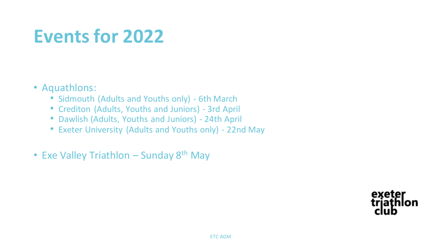## **Events for 2022**

#### • Aquathlons:

- Sidmouth (Adults and Youths only) 6th March
- Crediton (Adults, Youths and Juniors) 3rd April
- Dawlish (Adults, Youths and Juniors) 24th April
- Exeter University (Adults and Youths only) 22nd May
- Exe Valley Triathlon Sunday 8<sup>th</sup> May

exeter triathlon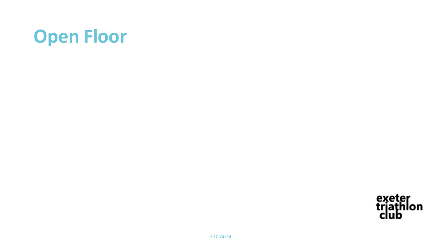# **Open Floor**